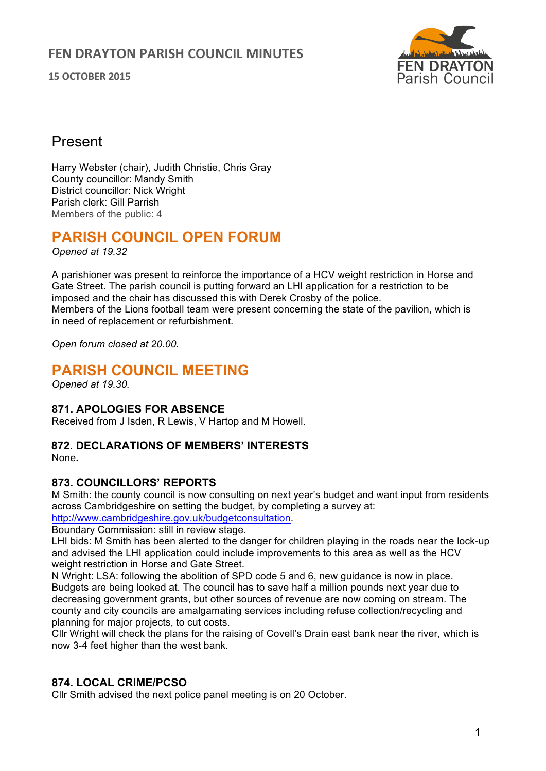**15 OCTOBER 2015**



## Present

Harry Webster (chair), Judith Christie, Chris Gray County councillor: Mandy Smith District councillor: Nick Wright Parish clerk: Gill Parrish Members of the public: 4

# **PARISH COUNCIL OPEN FORUM**

*Opened at 19.32*

A parishioner was present to reinforce the importance of a HCV weight restriction in Horse and Gate Street. The parish council is putting forward an LHI application for a restriction to be imposed and the chair has discussed this with Derek Crosby of the police. Members of the Lions football team were present concerning the state of the pavilion, which is in need of replacement or refurbishment.

*Open forum closed at 20.00.*

## **PARISH COUNCIL MEETING**

*Opened at 19.30.* 

## **871. APOLOGIES FOR ABSENCE**

Received from J Isden, R Lewis, V Hartop and M Howell.

## **872. DECLARATIONS OF MEMBERS' INTERESTS**

None**.**

## **873. COUNCILLORS' REPORTS**

M Smith: the county council is now consulting on next year's budget and want input from residents across Cambridgeshire on setting the budget, by completing a survey at: http://www.cambridgeshire.gov.uk/budgetconsultation.

Boundary Commission: still in review stage.

LHI bids: M Smith has been alerted to the danger for children playing in the roads near the lock-up and advised the LHI application could include improvements to this area as well as the HCV weight restriction in Horse and Gate Street.

N Wright: LSA: following the abolition of SPD code 5 and 6, new guidance is now in place. Budgets are being looked at. The council has to save half a million pounds next year due to decreasing government grants, but other sources of revenue are now coming on stream. The county and city councils are amalgamating services including refuse collection/recycling and planning for major projects, to cut costs.

Cllr Wright will check the plans for the raising of Covell's Drain east bank near the river, which is now 3-4 feet higher than the west bank.

## **874. LOCAL CRIME/PCSO**

Cllr Smith advised the next police panel meeting is on 20 October.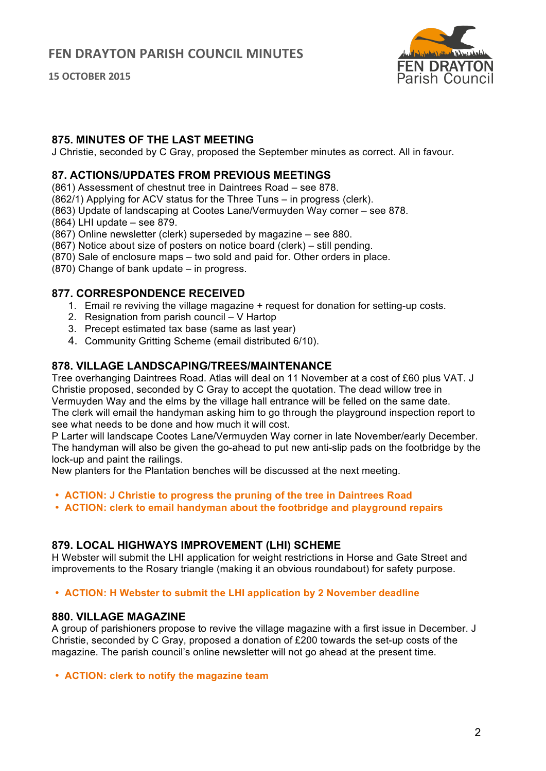**15 OCTOBER 2015**



## **875. MINUTES OF THE LAST MEETING**

J Christie, seconded by C Gray, proposed the September minutes as correct. All in favour.

## **87. ACTIONS/UPDATES FROM PREVIOUS MEETINGS**

(861) Assessment of chestnut tree in Daintrees Road – see 878.

(862/1) Applying for ACV status for the Three Tuns – in progress (clerk).

- (863) Update of landscaping at Cootes Lane/Vermuyden Way corner see 878.
- (864) LHI update see 879.
- (867) Online newsletter (clerk) superseded by magazine see 880.
- (867) Notice about size of posters on notice board (clerk) still pending.
- (870) Sale of enclosure maps two sold and paid for. Other orders in place.
- (870) Change of bank update in progress.

#### **877. CORRESPONDENCE RECEIVED**

- 1. Email re reviving the village magazine + request for donation for setting-up costs.
- 2. Resignation from parish council V Hartop
- 3. Precept estimated tax base (same as last year)
- 4. Community Gritting Scheme (email distributed 6/10).

## **878. VILLAGE LANDSCAPING/TREES/MAINTENANCE**

Tree overhanging Daintrees Road. Atlas will deal on 11 November at a cost of £60 plus VAT. J Christie proposed, seconded by C Gray to accept the quotation. The dead willow tree in Vermuyden Way and the elms by the village hall entrance will be felled on the same date. The clerk will email the handyman asking him to go through the playground inspection report to see what needs to be done and how much it will cost.

P Larter will landscape Cootes Lane/Vermuyden Way corner in late November/early December. The handyman will also be given the go-ahead to put new anti-slip pads on the footbridge by the lock-up and paint the railings.

New planters for the Plantation benches will be discussed at the next meeting.

- **ACTION: J Christie to progress the pruning of the tree in Daintrees Road**
- **ACTION: clerk to email handyman about the footbridge and playground repairs**

## **879. LOCAL HIGHWAYS IMPROVEMENT (LHI) SCHEME**

H Webster will submit the LHI application for weight restrictions in Horse and Gate Street and improvements to the Rosary triangle (making it an obvious roundabout) for safety purpose.

• **ACTION: H Webster to submit the LHI application by 2 November deadline**

#### **880. VILLAGE MAGAZINE**

A group of parishioners propose to revive the village magazine with a first issue in December. J Christie, seconded by C Gray, proposed a donation of £200 towards the set-up costs of the magazine. The parish council's online newsletter will not go ahead at the present time.

• **ACTION: clerk to notify the magazine team**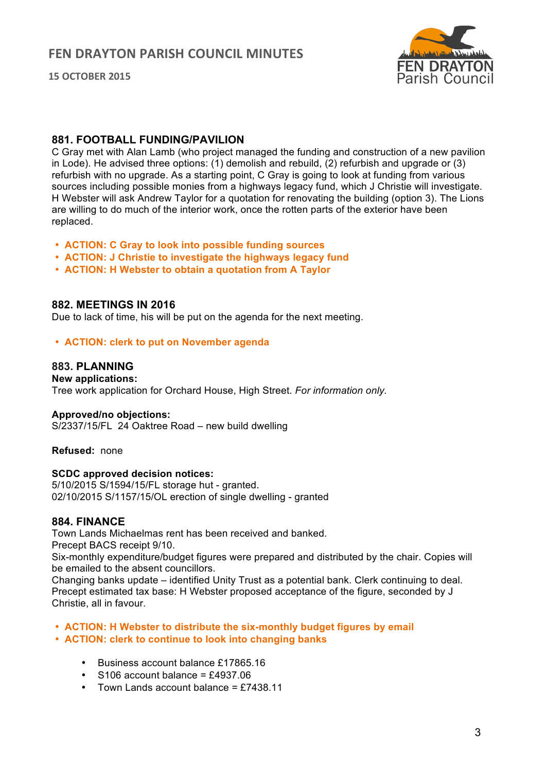



## **881. FOOTBALL FUNDING/PAVILION**

C Gray met with Alan Lamb (who project managed the funding and construction of a new pavilion in Lode). He advised three options: (1) demolish and rebuild, (2) refurbish and upgrade or (3) refurbish with no upgrade. As a starting point, C Gray is going to look at funding from various sources including possible monies from a highways legacy fund, which J Christie will investigate. H Webster will ask Andrew Taylor for a quotation for renovating the building (option 3). The Lions are willing to do much of the interior work, once the rotten parts of the exterior have been replaced.

- **ACTION: C Gray to look into possible funding sources**
- **ACTION: J Christie to investigate the highways legacy fund**
- **ACTION: H Webster to obtain a quotation from A Taylor**

#### **882. MEETINGS IN 2016**

Due to lack of time, his will be put on the agenda for the next meeting.

• **ACTION: clerk to put on November agenda** 

#### **883. PLANNING**

**New applications:**  Tree work application for Orchard House, High Street. *For information only.*

#### **Approved/no objections:**

S/2337/15/FL 24 Oaktree Road – new build dwelling

**Refused:** none

#### **SCDC approved decision notices:**

5/10/2015 S/1594/15/FL storage hut - granted. 02/10/2015 S/1157/15/OL erection of single dwelling - granted

#### **884. FINANCE**

Town Lands Michaelmas rent has been received and banked. Precept BACS receipt 9/10.

Six-monthly expenditure/budget figures were prepared and distributed by the chair. Copies will be emailed to the absent councillors.

Changing banks update – identified Unity Trust as a potential bank. Clerk continuing to deal. Precept estimated tax base: H Webster proposed acceptance of the figure, seconded by J Christie, all in favour.

#### • **ACTION: H Webster to distribute the six-monthly budget figures by email**

- **ACTION: clerk to continue to look into changing banks** 
	- Business account balance £17865.16
	- $\cdot$  S106 account balance = £4937.06
	- Town Lands account balance =  $£7438.11$